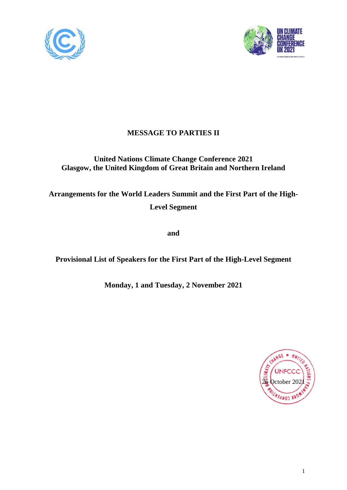



# **MESSAGE TO PARTIES II**

# **United Nations Climate Change Conference 2021 Glasgow, the United Kingdom of Great Britain and Northern Ireland**

**Arrangements for the World Leaders Summit and the First Part of the High-Level Segment**

**and** 

# **Provisional List of Speakers for the First Part of the High-Level Segment**

**Monday, 1 and Tuesday, 2 November 2021**

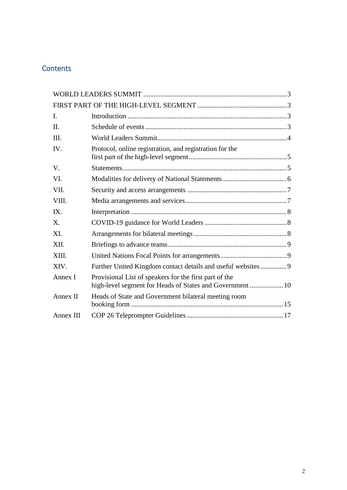# **Contents**

| $\mathbf{I}$ . |                                                                                                                     |  |
|----------------|---------------------------------------------------------------------------------------------------------------------|--|
| II.            |                                                                                                                     |  |
| III.           |                                                                                                                     |  |
| IV.            | Protocol, online registration, and registration for the                                                             |  |
| V.             |                                                                                                                     |  |
| VI.            |                                                                                                                     |  |
| VII.           |                                                                                                                     |  |
| VIII.          |                                                                                                                     |  |
| IX.            |                                                                                                                     |  |
| X.             |                                                                                                                     |  |
| XI.            |                                                                                                                     |  |
| XII.           |                                                                                                                     |  |
| XIII.          |                                                                                                                     |  |
| XIV.           | Further United Kingdom contact details and useful websites  9                                                       |  |
| Annex I        | Provisional List of speakers for the first part of the<br>high-level segment for Heads of States and Government  10 |  |
| Annex II       | Heads of State and Government bilateral meeting room                                                                |  |
| Annex III      |                                                                                                                     |  |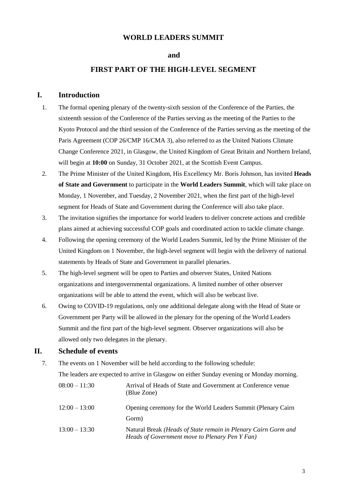## **WORLD LEADERS SUMMIT**

#### **and**

# **FIRST PART OF THE HIGH-LEVEL SEGMENT**

## <span id="page-2-2"></span><span id="page-2-1"></span><span id="page-2-0"></span>**I. Introduction**

- 1. The formal opening plenary of the twenty-sixth session of the Conference of the Parties, the sixteenth session of the Conference of the Parties serving as the meeting of the Parties to the Kyoto Protocol and the third session of the Conference of the Parties serving as the meeting of the Paris Agreement (COP 26/CMP 16/CMA 3), also referred to as the United Nations Climate Change Conference 2021, in Glasgow, the United Kingdom of Great Britain and Northern Ireland, will begin at **10:00** on Sunday, 31 October 2021, at the Scottish Event Campus.
- 2. The Prime Minister of the United Kingdom, His Excellency Mr. Boris Johnson, has invited **Heads of State and Government** to participate in the **World Leaders Summit**, which will take place on Monday, 1 November, and Tuesday, 2 November 2021, when the first part of the high-level segment for Heads of State and Government during the Conference will also take place.
- 3. The invitation signifies the importance for world leaders to deliver concrete actions and credible plans aimed at achieving successful COP goals and coordinated action to tackle climate change.
- 4. Following the opening ceremony of the World Leaders Summit, led by the Prime Minister of the United Kingdom on 1 November, the high-level segment will begin with the delivery of national statements by Heads of State and Government in parallel plenaries.
- 5. The high-level segment will be open to Parties and observer States, United Nations organizations and intergovernmental organizations. A limited number of other observer organizations will be able to attend the event, which will also be webcast live.
- 6. Owing to COVID-19 regulations, only one additional delegate along with the Head of State or Government per Party will be allowed in the plenary for the opening of the World Leaders Summit and the first part of the high-level segment. Observer organizations will also be allowed only two delegates in the plenary.

## <span id="page-2-3"></span>**II. Schedule of events**

7. The events on 1 November will be held according to the following schedule: The leaders are expected to arrive in Glasgow on either Sunday evening or Monday morning.

| $08:00 - 11:30$ | Arrival of Heads of State and Government at Conference venue<br>(Blue Zone)                                      |
|-----------------|------------------------------------------------------------------------------------------------------------------|
| $12:00 - 13:00$ | Opening ceremony for the World Leaders Summit (Plenary Cairn                                                     |
|                 | Gorm)                                                                                                            |
| $13:00 - 13:30$ | Natural Break (Heads of State remain in Plenary Cairn Gorm and<br>Heads of Government move to Plenary Pen Y Fan) |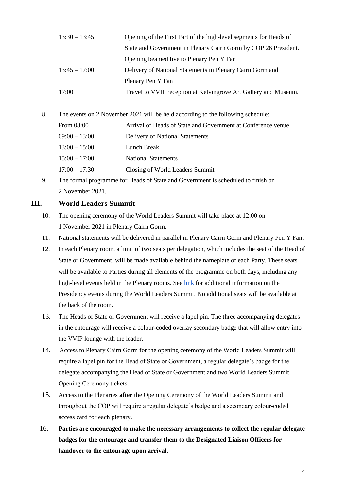| $13:30 - 13:45$ | Opening of the First Part of the high-level segments for Heads of |
|-----------------|-------------------------------------------------------------------|
|                 | State and Government in Plenary Cairn Gorm by COP 26 President.   |
|                 | Opening beamed live to Plenary Pen Y Fan                          |
| $13:45 - 17:00$ | Delivery of National Statements in Plenary Cairn Gorm and         |
|                 | Plenary Pen Y Fan                                                 |
| 17:00           | Travel to VVIP reception at Kelvingrove Art Gallery and Museum.   |

- 8. The events on 2 November 2021 will be held according to the following schedule: From 08:00 Arrival of Heads of State and Government at Conference venue 09:00 – 13:00 Delivery of National Statements 13:00 – 15:00 Lunch Break 15:00 – 17:00 National Statements 17:00 – 17:30 Closing of World Leaders Summit
- 9. The formal programme for Heads of State and Government is scheduled to finish on 2 November 2021.

# <span id="page-3-0"></span>**III. World Leaders Summit**

- 10. The opening ceremony of the World Leaders Summit will take place at 12:00 on 1 November 2021 in Plenary Cairn Gorm.
- 11. National statements will be delivered in parallel in Plenary Cairn Gorm and Plenary Pen Y Fan.
- 12. In each Plenary room, a limit of two seats per delegation, which includes the seat of the Head of State or Government, will be made available behind the nameplate of each Party. These seats will be available to Parties during all elements of the programme on both days, including any high-level events held in the Plenary rooms. See [link](https://ukcop26.org/wp-content/uploads/2021/10/Presidency-Programme-COP26.pdf) for additional information on the Presidency events during the World Leaders Summit. No additional seats will be available at the back of the room.
- 13. The Heads of State or Government will receive a lapel pin. The three accompanying delegates in the entourage will receive a colour-coded overlay secondary badge that will allow entry into the VVIP lounge with the leader.
- 14. Access to Plenary Cairn Gorm for the opening ceremony of the World Leaders Summit will require a lapel pin for the Head of State or Government, a regular delegate's badge for the delegate accompanying the Head of State or Government and two World Leaders Summit Opening Ceremony tickets.
- 15. Access to the Plenaries **after** the Opening Ceremony of the World Leaders Summit and throughout the COP will require a regular delegate's badge and a secondary colour-coded access card for each plenary.
- 16. **Parties are encouraged to make the necessary arrangements to collect the regular delegate badges for the entourage and transfer them to the Designated Liaison Officers for handover to the entourage upon arrival.**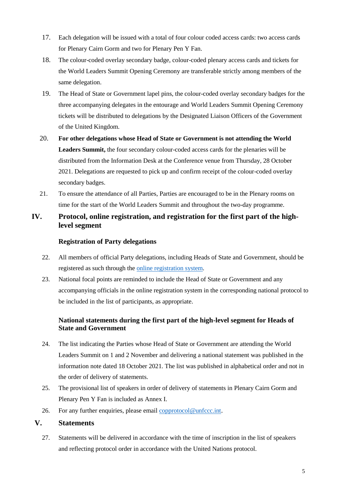- 17. Each delegation will be issued with a total of four colour coded access cards: two access cards for Plenary Cairn Gorm and two for Plenary Pen Y Fan.
- 18. The colour-coded overlay secondary badge, colour-coded plenary access cards and tickets for the World Leaders Summit Opening Ceremony are transferable strictly among members of the same delegation.
- 19. The Head of State or Government lapel pins, the colour-coded overlay secondary badges for the three accompanying delegates in the entourage and World Leaders Summit Opening Ceremony tickets will be distributed to delegations by the Designated Liaison Officers of the Government of the United Kingdom.
- 20. **For other delegations whose Head of State or Government is not attending the World Leaders Summit,** the four secondary colour-coded access cards for the plenaries will be distributed from the Information Desk at the Conference venue from Thursday, 28 October 2021. Delegations are requested to pick up and confirm receipt of the colour-coded overlay secondary badges.
- 21. To ensure the attendance of all Parties, Parties are encouraged to be in the Plenary rooms on time for the start of the World Leaders Summit and throughout the two-day programme.

# <span id="page-4-0"></span>**IV. Protocol, online registration, and registration for the first part of the highlevel segment**

### **Registration of Party delegations**

- 22. All members of official Party delegations, including Heads of State and Government, should be registered as such through the [online registration system.](https://onlinereg.unfccc.int/)
- 23. National focal points are reminded to include the Head of State or Government and any accompanying officials in the online registration system in the corresponding national protocol to be included in the list of participants, as appropriate.

# **National statements during the first part of the high-level segment for Heads of State and Government**

- 24. The list indicating the Parties whose Head of State or Government are attending the World Leaders Summit on 1 and 2 November and delivering a national statement was published in the information note dated 18 October 2021. The list was published in alphabetical order and not in the order of delivery of statements.
- 25. The provisional list of speakers in order of delivery of statements in Plenary Cairn Gorm and Plenary Pen Y Fan is included as Annex I.
- 26. For any further enquiries, please email [copprotocol@unfccc.int](mailto:copprotocol@unfccc.int).

# <span id="page-4-1"></span>**V. Statements**

27. Statements will be delivered in accordance with the time of inscription in the list of speakers and reflecting protocol order in accordance with the United Nations protocol.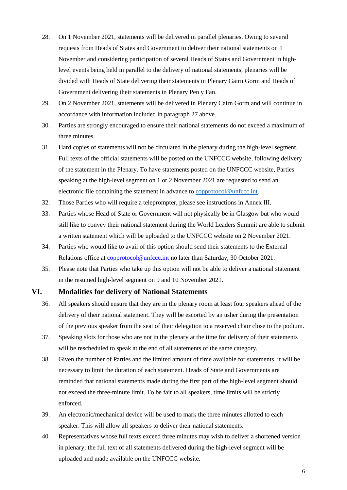- 28. On 1 November 2021, statements will be delivered in parallel plenaries. Owing to several requests from Heads of States and Government to deliver their national statements on 1 November and considering participation of several Heads of States and Government in highlevel events being held in parallel to the delivery of national statements, plenaries will be divided with Heads of State delivering their statements in Plenary Gairn Gorm and Heads of Government delivering their statements in Plenary Pen y Fan.
- 29. On 2 November 2021, statements will be delivered in Plenary Cairn Gorm and will continue in accordance with information included in paragraph 27 above.
- 30. Parties are strongly encouraged to ensure their national statements do not exceed a maximum of three minutes.
- 31. Hard copies of statements will not be circulated in the plenary during the high-level segment. Full texts of the official statements will be posted on the UNFCCC website, following delivery of the statement in the Plenary. To have statements posted on the UNFCCC website, Parties speaking at the high-level segment on 1 or 2 November 2021 are requested to send an electronic file containing the statement in advance to **copprotocol@unfccc.int**.
- 32. Those Parties who will require a teleprompter, please see instructions in Annex III.
- 33. Parties whose Head of State or Government will not physically be in Glasgow but who would still like to convey their national statement during the World Leaders Summit are able to submit a written statement which will be uploaded to the UNFCCC website on 2 November 2021.
- 34. Parties who would like to avail of this option should send their statements to the External Relations office at [copprotocol@unfccc.int](mailto:copprotocol@unfccc.int) no later than Saturday, 30 October 2021.
- 35. Please note that Parties who take up this option will not be able to deliver a national statement in the resumed high-level segment on 9 and 10 November 2021.

### <span id="page-5-0"></span>**VI. Modalities for delivery of National Statements**

- 36. All speakers should ensure that they are in the plenary room at least four speakers ahead of the delivery of their national statement. They will be escorted by an usher during the presentation of the previous speaker from the seat of their delegation to a reserved chair close to the podium.
- 37. Speaking slots for those who are not in the plenary at the time for delivery of their statements will be rescheduled to speak at the end of all statements of the same category.
- 38. Given the number of Parties and the limited amount of time available for statements, it will be necessary to limit the duration of each statement. Heads of State and Governments are reminded that national statements made during the first part of the high-level segment should not exceed the three-minute limit. To be fair to all speakers, time limits will be strictly enforced.
- 39. An electronic/mechanical device will be used to mark the three minutes allotted to each speaker. This will allow all speakers to deliver their national statements.
- 40. Representatives whose full texts exceed three minutes may wish to deliver a shortened version in plenary; the full text of all statements delivered during the high-level segment will be uploaded and made available on the UNFCCC website.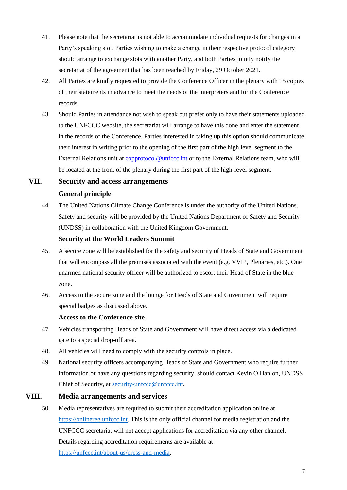- 41. Please note that the secretariat is not able to accommodate individual requests for changes in a Party's speaking slot. Parties wishing to make a change in their respective protocol category should arrange to exchange slots with another Party, and both Parties jointly notify the secretariat of the agreement that has been reached by Friday, 29 October 2021.
- 42. All Parties are kindly requested to provide the Conference Officer in the plenary with 15 copies of their statements in advance to meet the needs of the interpreters and for the Conference records.
- 43. Should Parties in attendance not wish to speak but prefer only to have their statements uploaded to the UNFCCC website, the secretariat will arrange to have this done and enter the statement in the records of the Conference. Parties interested in taking up this option should communicate their interest in writing prior to the opening of the first part of the high level segment to the External Relations unit at [copprotocol@unfccc.int](mailto:copprotocol@unfccc.int) or to the External Relations team, who will be located at the front of the plenary during the first part of the high-level segment.

# <span id="page-6-0"></span>**VII. Security and access arrangements General principle**

44. The United Nations Climate Change Conference is under the authority of the United Nations. Safety and security will be provided by the United Nations Department of Safety and Security (UNDSS) in collaboration with the United Kingdom Government.

## **Security at the World Leaders Summit**

- 45. A secure zone will be established for the safety and security of Heads of State and Government that will encompass all the premises associated with the event (e.g. VVIP, Plenaries, etc.). One unarmed national security officer will be authorized to escort their Head of State in the blue zone.
- 46. Access to the secure zone and the lounge for Heads of State and Government will require special badges as discussed above.

### **Access to the Conference site**

- 47. Vehicles transporting Heads of State and Government will have direct access via a dedicated gate to a special drop-off area.
- 48. All vehicles will need to comply with the security controls in place.
- 49. National security officers accompanying Heads of State and Government who require further information or have any questions regarding security, should contact Kevin O Hanlon, UNDSS Chief of Security, at [security-unfccc@unfccc.int.](mailto:security-unfccc@unfccc.int)

# **VIII. Media arrangements and services**

<span id="page-6-1"></span>50. Media representatives are required to submit their accreditation application online at [https://onlinereg.unfccc.int.](https://onlinereg.unfccc.int/) This is the only official channel for media registration and the UNFCCC secretariat will not accept applications for accreditation via any other channel. Details regarding accreditation requirements are available at [https://unfccc.int/about-us/press-and-media.](https://unfccc.int/about-us/press-and-media)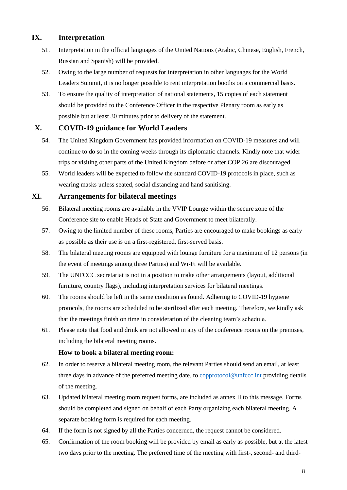# <span id="page-7-0"></span>**IX. Interpretation**

- 51. Interpretation in the official languages of the United Nations (Arabic, Chinese, English, French, Russian and Spanish) will be provided.
- 52. Owing to the large number of requests for interpretation in other languages for the World Leaders Summit, it is no longer possible to rent interpretation booths on a commercial basis.
- 53. To ensure the quality of interpretation of national statements, 15 copies of each statement should be provided to the Conference Officer in the respective Plenary room as early as possible but at least 30 minutes prior to delivery of the statement.

# <span id="page-7-1"></span>**X. COVID-19 guidance for World Leaders**

- 54. The United Kingdom Government has provided information on COVID-19 measures and will continue to do so in the coming weeks through its diplomatic channels. Kindly note that wider trips or visiting other parts of the United Kingdom before or after COP 26 are discouraged.
- 55. World leaders will be expected to follow the standard COVID-19 protocols in place, such as wearing masks unless seated, social distancing and hand sanitising.

## <span id="page-7-2"></span>**XI. Arrangements for bilateral meetings**

- 56. Bilateral meeting rooms are available in the VVIP Lounge within the secure zone of the Conference site to enable Heads of State and Government to meet bilaterally.
- 57. Owing to the limited number of these rooms, Parties are encouraged to make bookings as early as possible as their use is on a first-registered, first-served basis.
- 58. The bilateral meeting rooms are equipped with lounge furniture for a maximum of 12 persons (in the event of meetings among three Parties) and Wi-Fi will be available.
- 59. The UNFCCC secretariat is not in a position to make other arrangements (layout, additional furniture, country flags), including interpretation services for bilateral meetings.
- 60. The rooms should be left in the same condition as found. Adhering to COVID-19 hygiene protocols, the rooms are scheduled to be sterilized after each meeting. Therefore, we kindly ask that the meetings finish on time in consideration of the cleaning team's schedule.
- 61. Please note that food and drink are not allowed in any of the conference rooms on the premises, including the bilateral meeting rooms.

### **How to book a bilateral meeting room:**

- 62. In order to reserve a bilateral meeting room, the relevant Parties should send an email, at least three days in advance of the preferred meeting date, to [copprotocol@unfccc.int](mailto:copprotocol@unfccc.int) providing details of the meeting.
- 63. Updated bilateral meeting room request forms, are included as annex II to this message. Forms should be completed and signed on behalf of each Party organizing each bilateral meeting. A separate booking form is required for each meeting.
- 64. If the form is not signed by all the Parties concerned, the request cannot be considered.
- 65. Confirmation of the room booking will be provided by email as early as possible, but at the latest two days prior to the meeting. The preferred time of the meeting with first-, second- and third-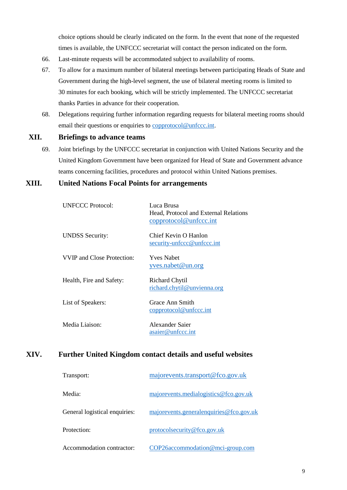choice options should be clearly indicated on the form. In the event that none of the requested times is available, the UNFCCC secretariat will contact the person indicated on the form.

- 66. Last-minute requests will be accommodated subject to availability of rooms.
- 67. To allow for a maximum number of bilateral meetings between participating Heads of State and Government during the high-level segment, the use of bilateral meeting rooms is limited to 30 minutes for each booking, which will be strictly implemented. The UNFCCC secretariat thanks Parties in advance for their cooperation.
- 68. Delegations requiring further information regarding requests for bilateral meeting rooms should email their questions or enquiries to [copprotocol@unfccc.int.](mailto:copprotocol@unfccc.int)

# <span id="page-8-0"></span>**XII. Briefings to advance teams**

69. Joint briefings by the UNFCCC secretariat in conjunction with United Nations Security and the United Kingdom Government have been organized for Head of State and Government advance teams concerning facilities, procedures and protocol within United Nations premises.

# <span id="page-8-1"></span>**XIII. United Nations Focal Points for arrangements**

| <b>UNFCCC Protocol:</b>           | Luca Brusa<br>Head, Protocol and External Relations<br>$\mathbf{c}$ opprotocol@unfccc.int |
|-----------------------------------|-------------------------------------------------------------------------------------------|
| <b>UNDSS</b> Security:            | Chief Kevin O Hanlon<br>security-unfccc@unfccc.int                                        |
| <b>VVIP</b> and Close Protection: | <b>Yves Nabet</b><br>yves.nabet@un.org                                                    |
| Health, Fire and Safety:          | <b>Richard Chytil</b><br>richard.chytil@unvienna.org                                      |
| List of Speakers:                 | Grace Ann Smith<br>copprotocol@unfccc.int                                                 |
| Media Liaison:                    | Alexander Saier<br>asaier@unfccc.int                                                      |

# <span id="page-8-2"></span>**XIV. Further United Kingdom contact details and useful websites**

| Transport:                    | majorevents.transport@fco.gov.uk        |
|-------------------------------|-----------------------------------------|
| Media:                        | majorevents.medialogistics@fco.gov.uk   |
| General logistical enquiries: | majorevents.generalenquiries@fco.gov.uk |
| Protection:                   | protocol security@fco.gov.uk            |
| Accommodation contractor:     | COP26accommodation@mci-group.com        |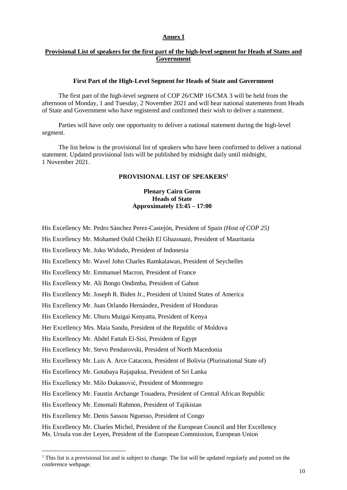#### **Annex I**

### <span id="page-9-0"></span>**Provisional List of speakers for the first part of the high-level segment for Heads of States and Government**

#### **First Part of the High-Level Segment for Heads of State and Government**

The first part of the high-level segment of COP 26/CMP 16/CMA 3 will be held from the afternoon of Monday, 1 and Tuesday, 2 November 2021 and will hear national statements from Heads of State and Government who have registered and confirmed their wish to deliver a statement.

Parties will have only one opportunity to deliver a national statement during the high-level segment.

The list below is the provisional list of speakers who have been confirmed to deliver a national statement. Updated provisional lists will be published by midnight daily until midnight, 1 November 2021.

### **PROVISIONAL LIST OF SPEAKERS<sup>1</sup>**

#### **Plenary Cairn Gorm Heads of State Approximately 13:45 – 17:00**

His Excellency Mr. Pedro Sánchez Perez-Castejón, President of Spain *(Host of COP 25)*

His Excellency Mr. Mohamed Ould Cheikh El Ghazouani, President of Mauritania

His Excellency Mr. Joko Widodo, President of Indonesia

His Excellency Mr. Wavel John Charles Ramkalawan, President of Seychelles

His Excellency Mr. Emmanuel Macron, President of France

His Excellency Mr. Ali Bongo Ondimba, President of Gabon

His Excellency Mr. Joseph R. Biden Jr., President of United States of America

His Excellency Mr. Juan Orlando Hernández, President of Honduras

His Excellency Mr. Uhuru Muigai Kenyatta, President of Kenya

Her Excellency Mrs. Maia Sandu, President of the Republic of Moldova

His Excellency Mr. Abdel Fattah El-Sisi, President of Egypt

His Excellency Mr. Stevo Pendarovski, President of North Macedonia

His Excellency Mr. Luis A. Arce Catacora, President of Bolivia (Plurinational State of)

His Excellency Mr. Gotabaya Rajapaksa, President of Sri Lanka

His Excellency Mr. Milo Đukanović, President of Montenegro

His Excellency Mr. Faustin Archange Touadera, President of Central African Republic

His Excellency Mr. Emomali Rahmon, President of Tajikistan

His Excellency Mr. Denis Sassou Nguesso, President of Congo

1

His Excellency Mr. Charles Michel, President of the European Council and Her Excellency Ms. Ursula von der Leyen, President of the European Commission, European Union

<sup>&</sup>lt;sup>1</sup> This list is a provisional list and is subject to change. The list will be updated regularly and posted on the conference webpage.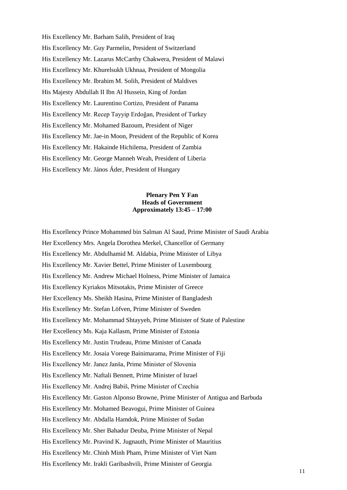His Excellency Mr. Barham Salih, President of Iraq His Excellency Mr. Guy Parmelin, President of Switzerland His Excellency Mr. Lazarus McCarthy Chakwera, President of Malawi His Excellency Mr. Khurelsukh Ukhnaa, President of Mongolia His Excellency Mr. Ibrahim M. Solih, President of Maldives His Majesty Abdullah II Ibn Al Hussein, King of Jordan His Excellency Mr. Laurentino Cortizo, President of Panama His Excellency Mr. Recep Tayyip Erdoğan, President of Turkey His Excellency Mr. Mohamed Bazoum, President of Niger His Excellency Mr. Jae-in Moon, President of the Republic of Korea His Excellency Mr. Hakainde Hichilema, President of Zambia His Excellency Mr. George Manneh Weah, President of Liberia His Excellency Mr. János Áder, President of Hungary

### **Plenary Pen Y Fan Heads of Government Approximately 13:45 – 17:00**

His Excellency Prince Mohammed bin Salman Al Saud, Prime Minister of Saudi Arabia Her Excellency Mrs. Angela Dorothea Merkel, Chancellor of Germany His Excellency Mr. Abdulhamid M. Aldabia, Prime Minister of Libya His Excellency Mr. Xavier Bettel, Prime Minister of Luxembourg His Excellency Mr. Andrew Michael Holness, Prime Minister of Jamaica His Excellency Kyriakos Mitsotakis, Prime Minister of Greece Her Excellency Ms. Sheikh Hasina, Prime Minister of Bangladesh His Excellency Mr. Stefan Löfven, Prime Minister of Sweden His Excellency Mr. Mohammad Shtayyeh, Prime Minister of State of Palestine Her Excellency Ms. Kaja Kallasm, Prime Minister of Estonia His Excellency Mr. Justin Trudeau, Prime Minister of Canada His Excellency Mr. Josaia Voreqe Bainimarama, Prime Minister of Fiji His Excellency Mr. Janez Janša, Prime Minister of Slovenia His Excellency Mr. Naftali Bennett, Prime Minister of Israel His Excellency Mr. Andrej Babiš, Prime Minister of Czechia His Excellency Mr. Gaston Alponso Browne, Prime Minister of Antigua and Barbuda His Excellency Mr. Mohamed Beavogui, Prime Minister of Guinea His Excellency Mr. Abdalla Hamdok, Prime Minister of Sudan His Excellency Mr. Sher Bahadur Deuba, Prime Minister of Nepal His Excellency Mr. Pravind K. Jugnauth, Prime Minister of Mauritius His Excellency Mr. Chinh Minh Pham, Prime Minister of Viet Nam His Excellency Mr. Irakli Garibashvili, Prime Minister of Georgia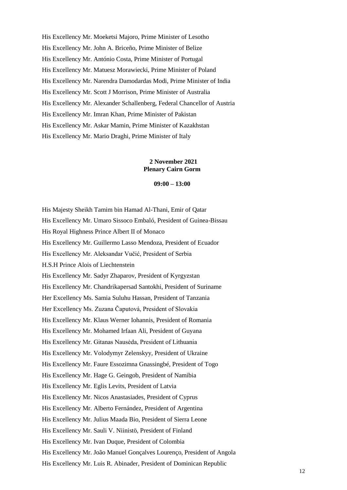His Excellency Mr. Moeketsi Majoro, Prime Minister of Lesotho His Excellency Mr. John A. Briceño, Prime Minister of Belize His Excellency Mr. António Costa, Prime Minister of Portugal His Excellency Mr. Matuesz Morawiecki, Prime Minister of Poland His Excellency Mr. Narendra Damodardas Modi, Prime Minister of India His Excellency Mr. Scott J Morrison, Prime Minister of Australia His Excellency Mr. Alexander Schallenberg, Federal Chancellor of Austria His Excellency Mr. Imran Khan, Prime Minister of Pakistan His Excellency Mr. Askar Mamin, Prime Minister of Kazakhstan His Excellency Mr. Mario Draghi, Prime Minister of Italy

### **2 November 2021 Plenary Cairn Gorm**

**09:00 – 13:00**

His Majesty Sheikh Tamim bin Hamad Al-Thani, Emir of Qatar His Excellency Mr. Umaro Sissoco Embaló, President of Guinea-Bissau His Royal Highness Prince Albert II of Monaco His Excellency Mr. Guillermo Lasso Mendoza, President of Ecuador His Excellency Mr. Aleksandar Vučić, President of Serbia H.S.H Prince Alois of Liechtenstein His Excellency Mr. Sadyr Zhaparov, President of Kyrgyzstan His Excellency Mr. Chandrikapersad Santokhi, President of Suriname Her Excellency Ms. Samia Suluhu Hassan, President of Tanzania Her Excellency Ms. Zuzana Čaputová, President of Slovakia His Excellency Mr. Klaus Werner Iohannis, President of Romania His Excellency Mr. Mohamed Irfaan Ali, President of Guyana His Excellency Mr. Gitanas Nausėda, President of Lithuania His Excellency Mr. Volodymyr Zelenskyy, President of Ukraine His Excellency Mr. Faure Essozimna Gnassingbé, President of Togo His Excellency Mr. Hage G. Geingob, President of Namibia His Excellency Mr. Eglis Levits, President of Latvia His Excellency Mr. Nicos Anastasiades, President of Cyprus His Excellency Mr. Alberto Fernández, President of Argentina His Excellency Mr. Julius Maada Bio, President of Sierra Leone His Excellency Mr. Sauli V. Niinistö, President of Finland His Excellency Mr. Ivan Duque, President of Colombia His Excellency Mr. João Manuel Gonçalves Lourenço, President of Angola His Excellency Mr. Luis R. Abinader, President of Dominican Republic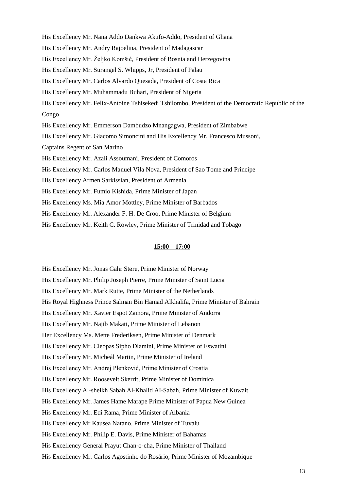His Excellency Mr. Nana Addo Dankwa Akufo-Addo, President of Ghana His Excellency Mr. Andry Rajoelina, President of Madagascar His Excellency Mr. Željko Komšić, President of Bosnia and Herzegovina His Excellency Mr. Surangel S. Whipps, Jr, President of Palau His Excellency Mr. Carlos Alvardo Quesada, President of Costa Rica His Excellency Mr. Muhammadu Buhari, President of Nigeria His Excellency Mr. Felix-Antoine Tshisekedi Tshilombo, President of the Democratic Republic of the Congo His Excellency Mr. Emmerson Dambudzo Mnangagwa, President of Zimbabwe His Excellency Mr. Giacomo Simoncini and His Excellency Mr. Francesco Mussoni, Captains Regent of San Marino His Excellency Mr. Azali Assoumani, President of Comoros His Excellency Mr. Carlos Manuel Vila Nova, President of Sao Tome and Principe His Excellency Armen Sarkissian, President of Armenia His Excellency Mr. Fumio Kishida, Prime Minister of Japan His Excellency Ms. Mia Amor Mottley, Prime Minister of Barbados His Excellency Mr. Alexander F. H. De Croo, Prime Minister of Belgium His Excellency Mr. Keith C. Rowley, Prime Minister of Trinidad and Tobago

### **15:00 – 17:00**

His Excellency Mr. Jonas Gahr Støre, Prime Minister of Norway His Excellency Mr. Philip Joseph Pierre, Prime Minister of Saint Lucia His Excellency Mr. Mark Rutte, Prime Minister of the Netherlands His Royal Highness Prince Salman Bin Hamad Alkhalifa, Prime Minister of Bahrain His Excellency Mr. Xavier Espot Zamora, Prime Minister of Andorra His Excellency Mr. Najib Makati, Prime Minister of Lebanon Her Excellency Ms. Mette Frederiksen, Prime Minister of Denmark His Excellency Mr. Cleopas Sipho Dlamini, Prime Minister of Eswatini His Excellency Mr. Micheál Martin, Prime Minister of Ireland His Excellency Mr. Andrej Plenković, Prime Minister of Croatia His Excellency Mr. Roosevelt Skerrit, Prime Minister of Dominica His Excellency Al-sheikh Sabah Al-Khalid AI-Sabah, Prime Minister of Kuwait His Excellency Mr. James Hame Marape Prime Minister of Papua New Guinea His Excellency Mr. Edi Rama, Prime Minister of Albania His Excellency Mr Kausea Natano, Prime Minister of Tuvalu His Excellency Mr. Philip E. Davis, Prime Minister of Bahamas His Excellency General Prayut Chan-o-cha, Prime Minister of Thailand His Excellency Mr. Carlos Agostinho do Rosário, Prime Minister of Mozambique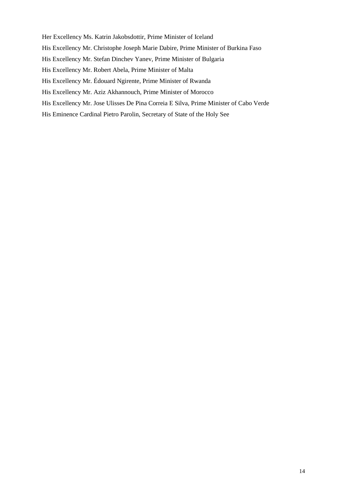Her Excellency Ms. Katrin Jakobsdottir, Prime Minister of Iceland His Excellency Mr. Christophe Joseph Marie Dabire, Prime Minister of Burkina Faso His Excellency Mr. Stefan Dinchev Yanev, Prime Minister of Bulgaria His Excellency Mr. Robert Abela, Prime Minister of Malta His Excellency Mr. Édouard Ngirente, Prime Minister of Rwanda His Excellency Mr. Aziz Akhannouch, Prime Minister of Morocco His Excellency Mr. Jose Ulisses De Pina Correia E Silva, Prime Minister of Cabo Verde His Eminence Cardinal Pietro Parolin, Secretary of State of the Holy See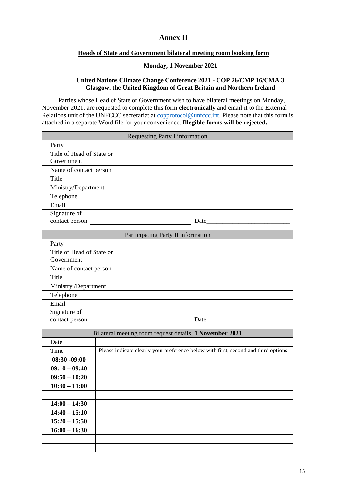# **Annex II**

### <span id="page-14-0"></span>**Heads of State and Government bilateral meeting room booking form**

### **Monday, 1 November 2021**

### **United Nations Climate Change Conference 2021 - COP 26/CMP 16/CMA 3 Glasgow, the United Kingdom of Great Britain and Northern Ireland**

Parties whose Head of State or Government wish to have bilateral meetings on Monday, November 2021, are requested to complete this form **electronically** and email it to the External Relations unit of the UNFCCC secretariat at **copprotocol@unfccc.int**. Please note that this form is attached in a separate Word file for your convenience. **Illegible forms will be rejected.**

| <b>Requesting Party I information</b>   |  |  |
|-----------------------------------------|--|--|
| Party                                   |  |  |
| Title of Head of State or<br>Government |  |  |
| Name of contact person                  |  |  |
| Title                                   |  |  |
| Ministry/Department                     |  |  |
| Telephone                               |  |  |
| Email                                   |  |  |
| Signature of                            |  |  |

contact person Date

| Participating Party II information      |  |  |
|-----------------------------------------|--|--|
| Party                                   |  |  |
| Title of Head of State or<br>Government |  |  |
| Name of contact person                  |  |  |
| Title                                   |  |  |
| Ministry /Department                    |  |  |
| Telephone                               |  |  |
| Email                                   |  |  |
| Signature of                            |  |  |

contact person Date Bilateral meeting room request details, **1 November 2021** Date Time Please indicate clearly your preference below with first, second and third options **08:30 -09:00 09:10 – 09:40 09:50 – 10:20 10:30 – 11:00 14:00 – 14:30 14:40 – 15:10 15:20 – 15:50 16:00 – 16:30**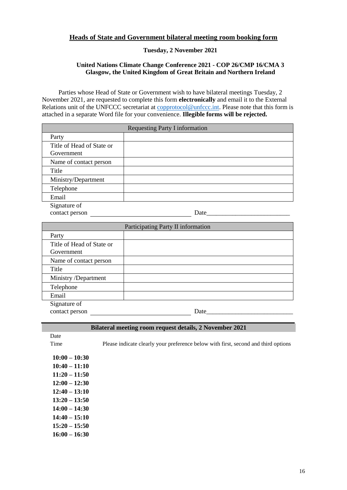### **Heads of State and Government bilateral meeting room booking form**

### **Tuesday, 2 November 2021**

### **United Nations Climate Change Conference 2021 - COP 26/CMP 16/CMA 3 Glasgow, the United Kingdom of Great Britain and Northern Ireland**

Parties whose Head of State or Government wish to have bilateral meetings Tuesday, 2 November 2021, are requested to complete this form **electronically** and email it to the External Relations unit of the UNFCCC secretariat at [copprotocol@unfccc.int.](mailto:copprotocol@unfccc.int) Please note that this form is attached in a separate Word file for your convenience. **Illegible forms will be rejected.**

| <b>Requesting Party I information</b>   |  |  |
|-----------------------------------------|--|--|
| Party                                   |  |  |
| Title of Head of State or<br>Government |  |  |
| Name of contact person                  |  |  |
| Title                                   |  |  |
| Ministry/Department                     |  |  |
| Telephone                               |  |  |
| Email                                   |  |  |
| Signature of                            |  |  |

contact person Date

| Participating Party II information      |      |  |
|-----------------------------------------|------|--|
| Party                                   |      |  |
| Title of Head of State or<br>Government |      |  |
| Name of contact person                  |      |  |
| Title                                   |      |  |
| Ministry /Department                    |      |  |
| Telephone                               |      |  |
| Email                                   |      |  |
| Signature of                            |      |  |
| contact person                          | Date |  |

#### **Bilateral meeting room request details, 2 November 2021**

 $\overline{a}$ 

Time Please indicate clearly your preference below with first, second and third options

| $10:00 - 10:30$ |
|-----------------|
| $10:40 - 11:10$ |
| $11:20 - 11:50$ |
| $12:00 - 12:30$ |
| $12:40 - 13:10$ |
| $13:20 - 13:50$ |
| $14:00 - 14:30$ |
| $14:40 - 15:10$ |
| $15:20 - 15:50$ |
| $16:00 - 16:30$ |